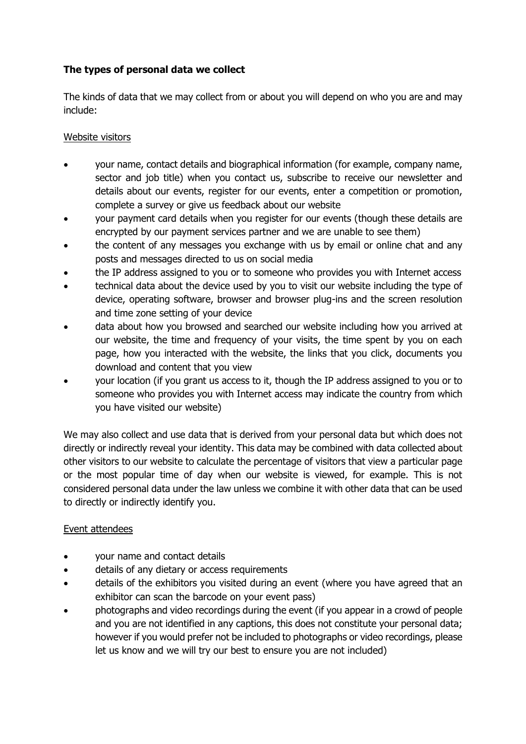# **The types of personal data we collect**

The kinds of data that we may collect from or about you will depend on who you are and may include:

## Website visitors

- your name, contact details and biographical information (for example, company name, sector and job title) when you contact us, subscribe to receive our newsletter and details about our events, register for our events, enter a competition or promotion, complete a survey or give us feedback about our website
- your payment card details when you register for our events (though these details are encrypted by our payment services partner and we are unable to see them)
- the content of any messages you exchange with us by email or online chat and any posts and messages directed to us on social media
- the IP address assigned to you or to someone who provides you with Internet access
- technical data about the device used by you to visit our website including the type of device, operating software, browser and browser plug-ins and the screen resolution and time zone setting of your device
- data about how you browsed and searched our website including how you arrived at our website, the time and frequency of your visits, the time spent by you on each page, how you interacted with the website, the links that you click, documents you download and content that you view
- your location (if you grant us access to it, though the IP address assigned to you or to someone who provides you with Internet access may indicate the country from which you have visited our website)

We may also collect and use data that is derived from your personal data but which does not directly or indirectly reveal your identity. This data may be combined with data collected about other visitors to our website to calculate the percentage of visitors that view a particular page or the most popular time of day when our website is viewed, for example. This is not considered personal data under the law unless we combine it with other data that can be used to directly or indirectly identify you.

## Event attendees

- your name and contact details
- details of any dietary or access requirements
- details of the exhibitors you visited during an event (where you have agreed that an exhibitor can scan the barcode on your event pass)
- photographs and video recordings during the event (if you appear in a crowd of people and you are not identified in any captions, this does not constitute your personal data; however if you would prefer not be included to photographs or video recordings, please let us know and we will try our best to ensure you are not included)